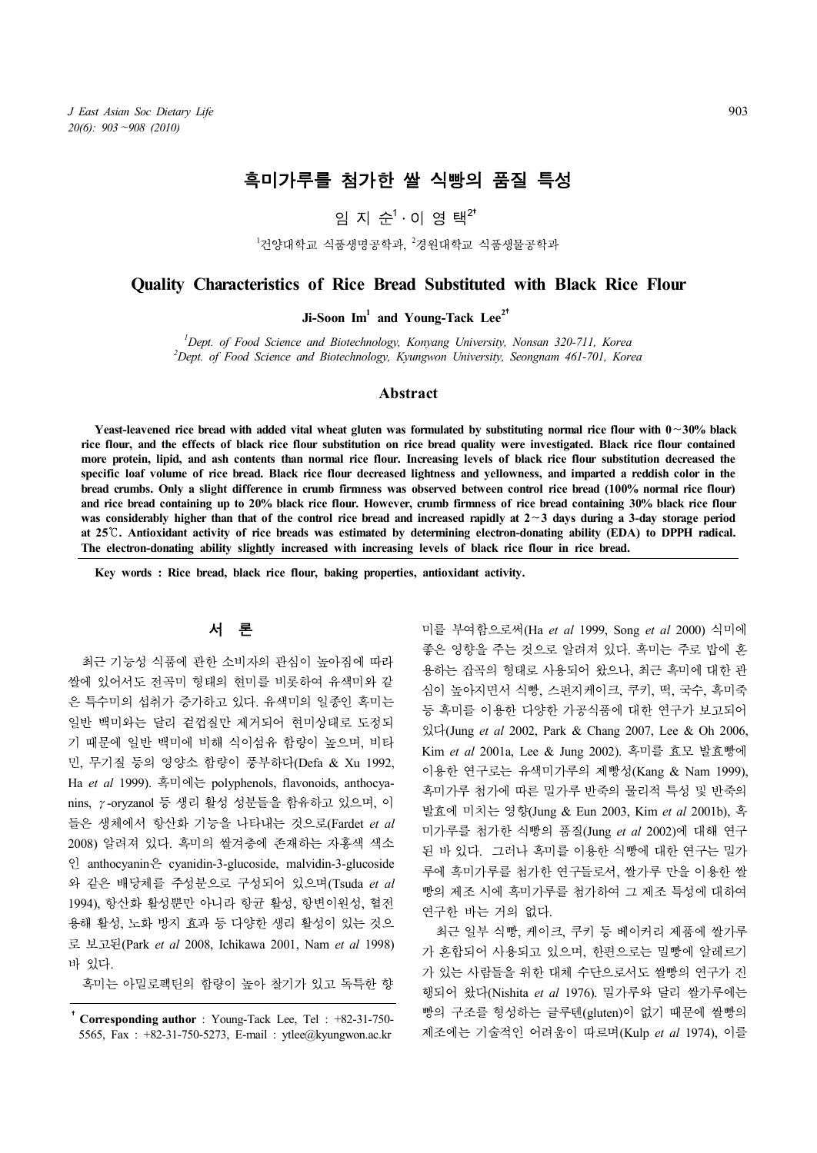# 흑미가루를 첨가한 쌀 식빵의 품질 특성

# 임 지 순 $1 \cdot$  이 영 택 $2^*$

<sup>1</sup>건양대학교 식품생명공학과, <sup>2</sup>경원대학교 식품생물공학과

# **Quality Characteristics of Rice Bread Substituted with Black Rice Flour**

**Ji-Soon Im<sup>1</sup> and Young-Tack Lee<sup>2</sup>**†

*<sup>1</sup>Dept. of Food Science and Biotechnology, Konyang University, Nonsan 320-711, Korea <sup>2</sup>Dept. of Food Science and Biotechnology, Kyungwon University, Seongnam 461-701, Korea*

# **Abstract**

**Yeast-leavened rice bread with added vital wheat gluten was formulated by substituting normal rice flour with 0**∼**30% black**  rice flour, and the effects of black rice flour substitution on rice bread quality were investigated. Black rice flour contained more protein, lipid, and ash contents than normal rice flour. Increasing levels of black rice **specific loaf volume of rice bread. Black rice flour decreased lightness and yellowness, and imparted a reddish color in the bread crumbs. Only a slight difference in crumb firmness was observed between control rice bread (100% normal rice flour)**  and rice bread containing up to 20% black rice flour. However, crumb firmness of rice bread containing 30% black rice flour<br>was considerably higher than that of the control rice bread and increased rapidly at  $2 \sim 3$  days **at 25**℃**. Antioxidant activity of rice breads was estimated by determining electron-donating ability (EDA) to DPPH radical. The electron-donating ability slightly increased with increasing levels of black rice flour in rice bread.**

**Key words : Rice bread, black rice flour, baking properties, antioxidant activity.**

## 서 론

최근 기능성 식품에 관한 소비자의 관심이 높아짐에 따라 쌀에 있어서도 전곡미 형태의 현미를 비롯하여 유색미와 같 은 특수미의 섭취가 증가하고 있다. 유색미의 일종인 흑미는 일반 백미와는 달리 겉껍질만 제거되어 현미상태로 도정되 기 때문에 일반 백미에 비해 식이섬유 함량이 높으며, 비타 민, 무기질 등의 영양소 함량이 풍부하다(Defa & Xu 1992, Ha *et al* 1999). 흑미에는 polyphenols, flavonoids, anthocya nins, γ-oryzanol 등 생리 활성 성분들을 함유하고 있으며, 이 들은 생체에서 항산화 기능을 나타내는 것으로(Fardet *et al* 2008) 알려져 있다. 흑미의 쌀겨층에 존재하는 자홍색 색소 인 anthocyanin은 cyanidin-3-glucoside, malvidin-3-glucoside 와 같은 배당체를 주성분으로 구성되어 있으며(Tsuda *et al* 1994), 항산화 활성뿐만 아니라 항균 활성, 항변이원성, 혈전 용해 활성, 노화 방지 효과 등 다양한 생리 활성이 있는 것으 로 보고된(Park *et al* 2008, Ichikawa 2001, Nam *et al* 1998) 바 있다.

흑미는 아밀로펙틴의 함량이 높아 찰기가 있고 독특한 향

미를 부여함으로써(Ha *et al* 1999, Song *et al* 2000) 식미에 좋은 영향을 주는 것으로 알려져 있다. 흑미는 주로 밥에 혼 용하는 잡곡의 형태로 사용되어 왔으나, 최근 흑미에 대한 관 심이 높아지면서 식빵, 스펀지케이크, 쿠키, 떡, 국수, 흑미죽 등 흑미를 이용한 다양한 가공식품에 대한 연구가 보고되어 있다(Jung *et al* 2002, Park & Chang 2007, Lee & Oh 2006, Kim *et al* 2001a, Lee & Jung 2002). 흑미를 효모 발효빵에 이용한 연구로는 유색미가루의 제빵성(Kang & Nam 1999), 흑미가루 첨가에 따른 밀가루 반죽의 물리적 특성 및 반죽의 발효에 미치는 영향(Jung & Eun 2003, Kim *et al* 2001b), 흑 미가루를 첨가한 식빵의 품질(Jung *et al* 2002)에 대해 연구 된 바 있다. 그러나 흑미를 이용한 식빵에 대한 연구는 밀가 루에 흑미가루를 첨가한 연구들로서, 쌀가루 만을 이용한 쌀 빵의 제조 시에 흑미가루를 첨가하여 그 제조 특성에 대하여 연구한 바는 거의 없다.

최근 일부 식빵, 케이크, 쿠키 등 베이커리 제품에 쌀가루 가 혼합되어 사용되고 있으며, 한편으로는 밀빵에 알레르기 가 있는 사람들을 위한 대체 수단으로서도 쌀빵의 연구가 진 행되어 왔다(Nishita *et al* 1976). 밀가루와 달리 쌀가루에는 빵의 구조를 형성하는 글루텐(gluten)이 없기 때문에 쌀빵의 제조에는 기술적인 어려움이 따르며(Kulp *et al* 1974), 이를

<sup>†</sup>**Corresponding author** : Young-Tack Lee, Tel : +82-31-750- 5565, Fax : +82-31-750-5273, E-mail : ytlee@kyungwon.ac.kr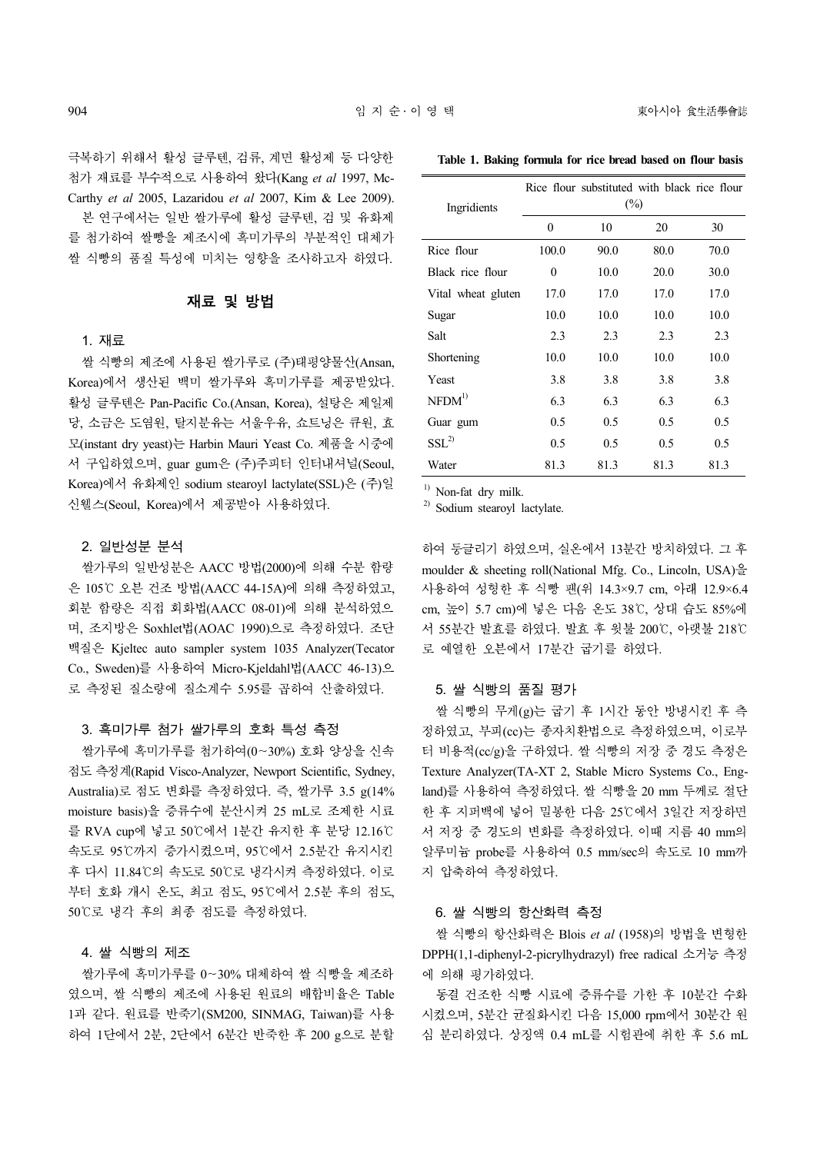극복하기 위해서 활성 글루텐, 검류, 계면 활성제 등 다양한 첨가 재료를 부수적으로 사용하여 왔다(Kang *et al* 1997, Mc- Carthy *et al* 2005, Lazaridou *et al* 2007, Kim & Lee 2009).

본 연구에서는 일반 쌀가루에 활성 글루텐, 검 및 유화제 를 첨가하여 쌀빵을 제조시에 흑미가루의 부분적인 대체가 쌀 식빵의 품질 특성에 미치는 영향을 조사하고자 하였다.

# 재료 및 방법

### 1. 재료

쌀 식빵의 제조에 사용된 쌀가루로 (주)태평양물산(Ansan, Korea)에서 생산된 백미 쌀가루와 흑미가루를 제공받았다. 활성 글루텐은 Pan-Pacific Co.(Ansan, Korea), 설탕은 제일제 당, 소금은 도염원, 탈지분유는 서울우유, 쇼트닝은 큐원, 효 모(instant dry yeast)는 Harbin Mauri Yeast Co. 제품을 시중에 서 구입하였으며, guar gum은 (주)주피터 인터내셔널(Seoul, Korea)에서 유화제인 sodium stearoyl lactylate(SSL)은 (주)일 신웰스(Seoul, Korea)에서 제공받아 사용하였다.

### 2. 일반성분 분석

쌀가루의 일반성분은 AACC 방법(2000)에 의해 수분 함량 은 105℃ 오븐 건조 방법(AACC 44-15A)에 의해 측정하였고, 회분 함량은 직접 회화법(AACC 08-01)에 의해 분석하였으 며, 조지방은 Soxhlet법(AOAC 1990)으로 측정하였다. 조단 백질은 Kjeltec auto sampler system 1035 Analyzer(Tecator Co., Sweden)를 사용하여 Micro-Kjeldahl법(AACC 46-13)으 로 측정된 질소량에 질소계수 5.95를 곱하여 산출하였다.

### 3. 흑미가루 첨가 쌀가루의 호화 특성 측정

쌀가루에 흑미가루를 첨가하여(0∼30%) 호화 양상을 신속 점도 측정계(Rapid Visco-Analyzer, Newport Scientific, Sydney, Australia)로 점도 변화를 측정하였다. 즉, 쌀가루 3.5 g(14% moisture basis)을 증류수에 분산시켜 25 mL로 조제한 시료 를 RVA cup에 넣고 50℃에서 1분간 유지한 후 분당 12.16℃ 속도로 95℃까지 증가시켰으며, 95℃에서 2.5분간 유지시킨 후 다시 11.84℃의 속도로 50℃로 냉각시켜 측정하였다. 이로 부터 호화 개시 온도, 최고 점도, 95℃에서 2.5분 후의 점도,<br>50℃로 냉각 후의 최종 점도를 측정하였다.

#### 4. 쌀 식빵의 제조

쌀가루에 흑미가루를 0∼30% 대체하여 쌀 식빵을 제조하 였으며, 쌀 식빵의 제조에 사용된 원료의 배합비율은 Table 1과 같다. 원료를 반죽기(SM200, SINMAG, Taiwan)를 사용 하여 1단에서 2분, 2단에서 6분간 반죽한 후 200 g으로 분할

| Table 1. Baking formula for rice bread based on flour basis |  |  |  |  |  |
|-------------------------------------------------------------|--|--|--|--|--|
|                                                             |  |  |  |  |  |

| Ingridients        | Rice flour substituted with black rice flour<br>$(\%)$ |      |      |      |  |  |  |
|--------------------|--------------------------------------------------------|------|------|------|--|--|--|
|                    | $\theta$                                               | 10   | 20   | 30   |  |  |  |
| Rice flour         | 100.0                                                  | 90.0 | 80.0 | 70.0 |  |  |  |
| Black rice flour   | $\mathbf{0}$                                           | 10.0 | 20.0 | 30.0 |  |  |  |
| Vital wheat gluten | 17.0                                                   | 17.0 | 17.0 | 17.0 |  |  |  |
| Sugar              | 10.0                                                   | 10.0 | 10.0 | 10.0 |  |  |  |
| Salt               | 2.3                                                    | 2.3  | 2.3  | 2.3  |  |  |  |
| Shortening         | 10.0                                                   | 10.0 | 10.0 | 10.0 |  |  |  |
| Yeast              | 3.8                                                    | 3.8  | 3.8  | 3.8  |  |  |  |
| NFDM <sup>1</sup>  | 6.3                                                    | 6.3  | 6.3  | 6.3  |  |  |  |
| Guar gum           | 0.5                                                    | 0.5  | 0.5  | 0.5  |  |  |  |
| SSI <sup>2</sup>   | 0.5                                                    | 0.5  | 0.5  | 0.5  |  |  |  |
| Water              | 81.3                                                   | 81.3 | 81.3 | 81.3 |  |  |  |

<sup>1)</sup> Non-fat dry milk.

2) Sodium stearoyl lactylate.

하여 둥글리기 하였으며, 실온에서 13분간 방치하였다. 그 후 moulder & sheeting roll(National Mfg. Co., Lincoln, USA)을 사용하여 성형한 후 식빵 팬(위 14.3×9.7 cm, 아래 12.9×6.4 cm, 높이 5.7 cm)에 넣은 다음 온도 38℃, 상대 습도 85%에 서 55분간 발효를 하였다. 발효 후 윗불 200℃, 아랫불 218℃ 로 예열한 오븐에서 17분간 굽기를 하였다.

## 5. 쌀 식빵의 품질 평가

쌀 식빵의 무게(g)는 굽기 후 1시간 동안 방냉시킨 후 측 정하였고, 부피(cc)는 종자치환법으로 측정하였으며, 이로부 터 비용적(cc/g)을 구하였다. 쌀 식빵의 저장 중 경도 측정은 Texture Analyzer(TA-XT 2, Stable Micro Systems Co., England)를 사용하여 측정하였다. 쌀 식빵을 20 mm 두께로 절단 한 후 지퍼백에 넣어 밀봉한 다음 25℃에서 3일간 저장하면 서 저장 중 경도의 변화를 측정하였다. 이때 지름 40 mm의 알루미늄 probe를 사용하여 0.5 mm/sec의 속도로 10 mm까 지 압축하여 측정하였다.

# 6. 쌀 식빵의 항산화력 측정

쌀 식빵의 항산화력은 Blois *et al* (1958)의 방법을 변형한 DPPH(1,1-diphenyl-2-picrylhydrazyl) free radical 소거능 측정 에 의해 평가하였다.

동결 건조한 식빵 시료에 증류수를 가한 후 10분간 수화 시켰으며, 5분간 균질화시킨 다음 15,000 rpm에서 30분간 원 심 분리하였다. 상징액 0.4 mL를 시험관에 취한 후 5.6 mL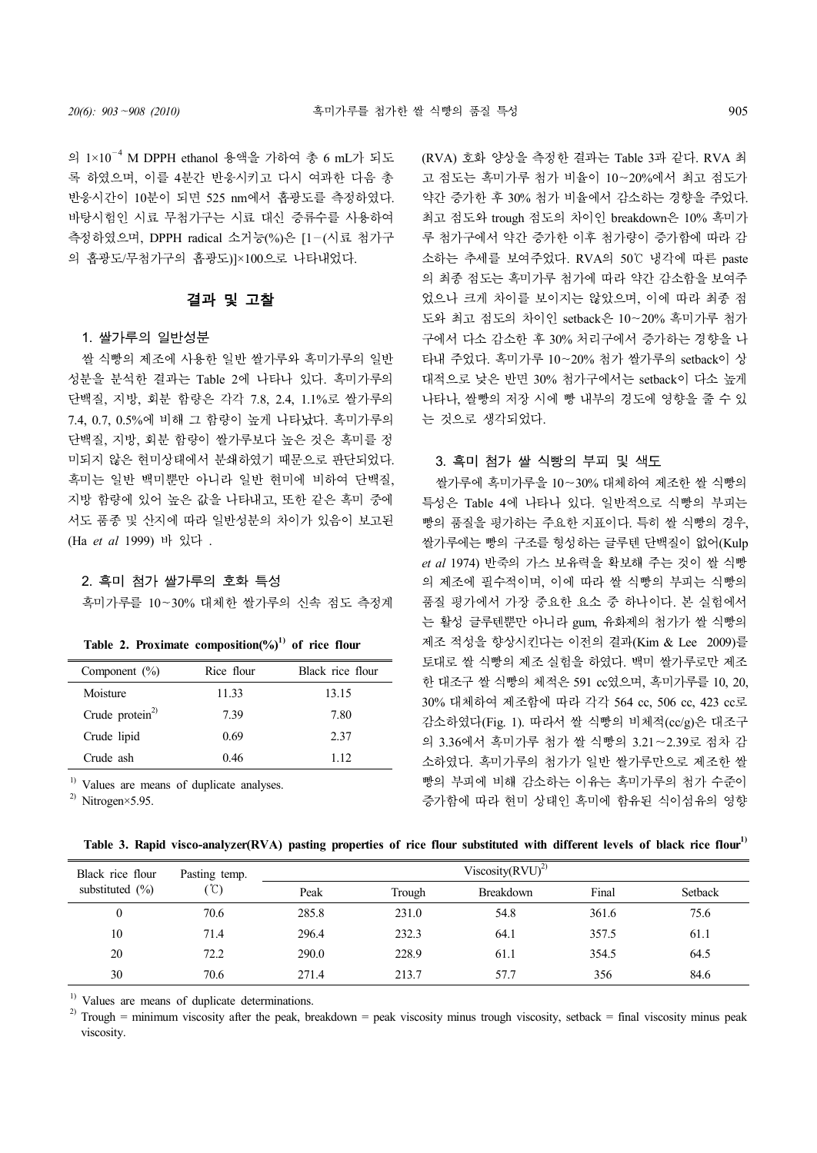의 1×10—<sup>4</sup> M DPPH ethanol 용액을 가하여 총 6 mL가 되도 록 하였으며, 이를 4분간 반응시키고 다시 여과한 다음 총 반응시간이 10분이 되면 525 nm에서 흡광도를 측정하였다. 바탕시험인 시료 무첨가구는 시료 대신 증류수를 사용하여 측정하였으며, DPPH radical 소거능(%)은 [1—(시료 첨가구 의 흡광도/무첨가구의 흡광도)]×100으로 나타내었다.

### 결과 및 고찰

#### 1. 쌀가루의 일반성분

쌀 식빵의 제조에 사용한 일반 쌀가루와 흑미가루의 일반 성분을 분석한 결과는 Table 2에 나타나 있다. 흑미가루의 단백질, 지방, 회분 함량은 각각 7.8, 2.4, 1.1%로 쌀가루의 7.4, 0.7, 0.5%에 비해 그 함량이 높게 나타났다. 흑미가루의 단백질, 지방, 회분 함량이 쌀가루보다 높은 것은 흑미를 정 미되지 않은 현미상태에서 분쇄하였기 때문으로 판단되었다. 흑미는 일반 백미뿐만 아니라 일반 현미에 비하여 단백질, 지방 함량에 있어 높은 값을 나타내고, 또한 같은 흑미 중에 서도 품종 및 산지에 따라 일반성분의 차이가 있음이 보고된 (Ha *et al* 1999) 바 있다 .

#### 2. 흑미 첨가 쌀가루의 호화 특성

흑미가루를 10~30% 대체한 쌀가루의 신속 점도 측정계

|  |  |  | Table 2. Proximate composition(%) <sup>1)</sup> of rice flour |  |  |  |  |
|--|--|--|---------------------------------------------------------------|--|--|--|--|
|--|--|--|---------------------------------------------------------------|--|--|--|--|

| Component $(\% )$ | Rice flour | Black rice flour |
|-------------------|------------|------------------|
| Moisture          | 11.33      | 13.15            |
| Crude $protein2$  | 7.39       | 7.80             |
| Crude lipid       | 0.69       | 2.37             |
| Crude ash         | 0.46       | 112              |

<sup>1)</sup> Values are means of duplicate analyses.

<sup>2)</sup> Nitrogen×5.95.

(RVA) 호화 양상을 측정한 결과는 Table 3과 같다. RVA 최 고 점도는 흑미가루 첨가 비율이 10∼20%에서 최고 점도가 약간 증가한 후 30% 첨가 비율에서 감소하는 경향을 주었다. 최고 점도와 trough 점도의 차이인 breakdown은 10% 흑미가 루 첨가구에서 약간 증가한 이후 첨가량이 증가함에 따라 감 소하는 추세를 보여주었다. RVA의 50℃ 냉각에 따른 paste 의 최종 점도는 흑미가루 첨가에 따라 약간 감소함을 보여주 었으나 크게 차이를 보이지는 않았으며, 이에 따라 최종 점 도와 최고 점도의 차이인 setback은 10∼20% 흑미가루 첨가 구에서 다소 감소한 후 30% 처리구에서 증가하는 경향을 나 타내 주었다. 흑미가루 10∼20% 첨가 쌀가루의 setback이 상 대적으로 낮은 반면 30% 첨가구에서는 setback이 다소 높게 나타나, 쌀빵의 저장 시에 빵 내부의 경도에 영향을 줄 수 있 는 것으로 생각되었다.

### 3. 흑미 첨가 쌀 식빵의 부피 및 색도

쌀가루에 흑미가루을 10∼30% 대체하여 제조한 쌀 식빵의 특성은 Table 4에 나타나 있다. 일반적으로 식빵의 부피는 빵의 품질을 평가하는 주요한 지표이다. 특히 쌀 식빵의 경우, 쌀가루에는 빵의 구조를 형성하는 글루텐 단백질이 없어(Kulp *et al* 1974) 반죽의 가스 보유력을 확보해 주는 것이 쌀 식빵 의 제조에 필수적이며, 이에 따라 쌀 식빵의 부피는 식빵의 품질 평가에서 가장 중요한 요소 중 하나이다. 본 실험에서 는 활성 글루텐뿐만 아니라 gum, 유화제의 첨가가 쌀 식빵의 제조 적성을 향상시킨다는 이전의 결과(Kim & Lee 2009)를 토대로 쌀 식빵의 제조 실험을 하였다. 백미 쌀가루로만 제조 한 대조구 쌀 식빵의 체적은 591 cc였으며, 흑미가루를 10, 20, 30% 대체하여 제조함에 따라 각각 564 cc, 506 cc, 423 cc로 감소하였다(Fig. 1). 따라서 쌀 식빵의 비체적(cc/g)은 대조구 의 3.36에서 흑미가루 첨가 쌀 식빵의 3.21∼2.39로 점차 감 소하였다. 흑미가루의 첨가가 일반 쌀가루만으로 제조한 쌀 빵의 부피에 비해 감소하는 이유는 흑미가루의 첨가 수준이 증가함에 따라 현미 상태인 흑미에 함유된 식이섬유의 영향

|  | Table 3. Rapid visco-analyzer(RVA) pasting properties of rice flour substituted with different levels of black rice flour <sup>1)</sup> |  |  |  |  |  |  |
|--|-----------------------------------------------------------------------------------------------------------------------------------------|--|--|--|--|--|--|
|  |                                                                                                                                         |  |  |  |  |  |  |

| Black rice flour    | Pasting temp. |       |        | Viscosity $(RVU)^{2}$ |       |         |
|---------------------|---------------|-------|--------|-----------------------|-------|---------|
| substituted $(\% )$ | $\hat{C}$     | Peak  | Trough | <b>Breakdown</b>      | Final | Setback |
| $\theta$            | 70.6          | 285.8 | 231.0  | 54.8                  | 361.6 | 75.6    |
| 10                  | 71.4          | 296.4 | 232.3  | 64.1                  | 357.5 | 61.1    |
| 20                  | 72.2          | 290.0 | 228.9  | 61.1                  | 354.5 | 64.5    |
| 30                  | 70.6          | 271.4 | 213.7  | 57.7                  | 356   | 84.6    |

 $<sup>1)</sup>$  Values are means of duplicate determinations.</sup>

<sup>2)</sup> Trough = minimum viscosity after the peak, breakdown = peak viscosity minus trough viscosity, setback = final viscosity minus peak viscosity.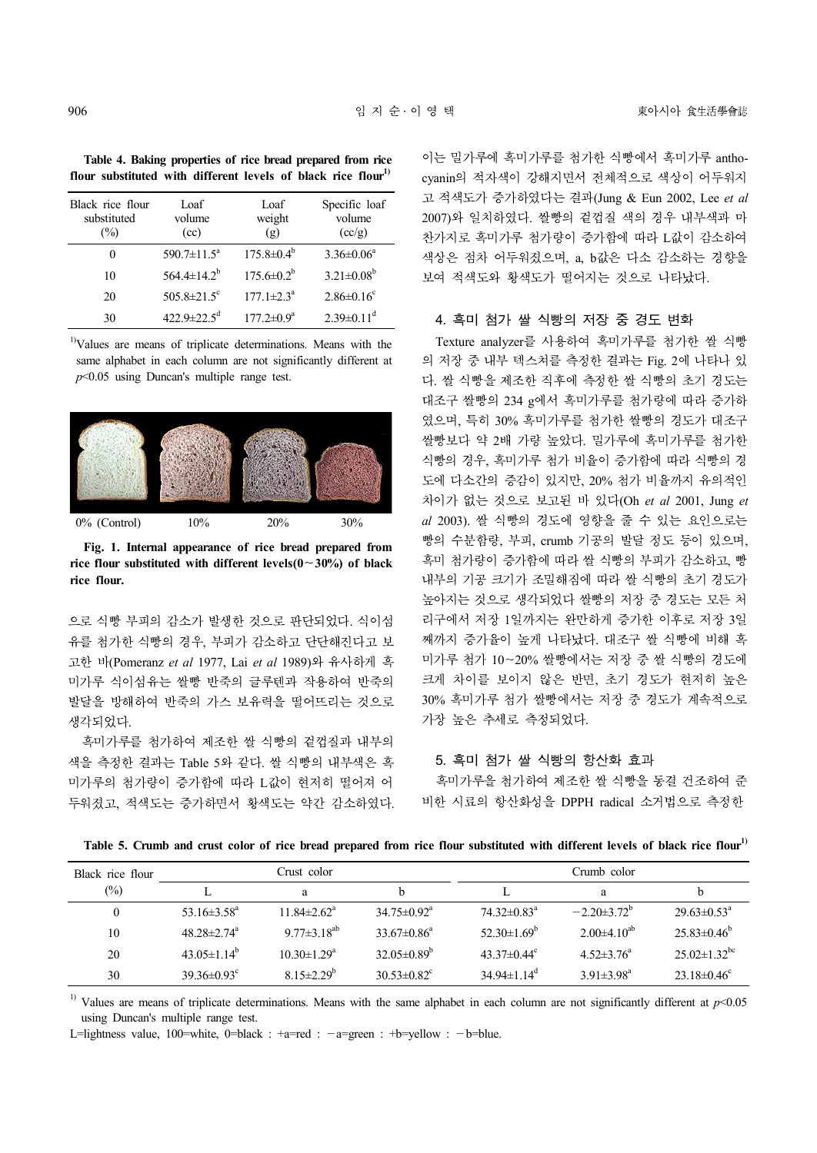**Table 4. Baking properties of rice bread prepared from rice flour substituted with different levels of black rice flour1)**

| Black rice flour<br>substituted<br>$\frac{1}{2}$ | Loaf<br>volume<br>(cc)        | Loaf<br>weight<br>$\left( \mathbf{g} \right)$ | Specific loaf<br>volume<br>(cc/g) |
|--------------------------------------------------|-------------------------------|-----------------------------------------------|-----------------------------------|
| 0                                                | 590.7 $\pm$ 11.5 <sup>a</sup> | $175.8 \pm 0.4^b$                             | $3.36 \pm 0.06^a$                 |
| 10                                               | 564.4 $\pm$ 14.2 <sup>b</sup> | $175.6 \pm 0.2^b$                             | $3.21 \pm 0.08^b$                 |
| 20                                               | 505.8 $\pm$ 21.5 <sup>c</sup> | $177.1 \pm 2.3^{\circ}$                       | $2.86 \pm 0.16$ <sup>c</sup>      |
| 30                                               | $422.9 \pm 22.5$ <sup>d</sup> | $177.2 \pm 0.9^a$                             | $2.39 \pm 0.11$ <sup>d</sup>      |

<sup>1)</sup>Values are means of triplicate determinations. Means with the same alphabet in each column are not significantly different at *p*<0.05 using Duncan's multiple range test.



**Fig. 1. Internal appearance of rice bread prepared from rice flour substituted with different levels(0**∼**30%) of black rice flour.**

으로 식빵 부피의 감소가 발생한 것으로 판단되었다. 식이섬 유를 첨가한 식빵의 경우, 부피가 감소하고 단단해진다고 보 고한 바(Pomeranz *et al* 1977, Lai *et al* 1989)와 유사하게 흑 미가루 식이섬유는 쌀빵 반죽의 글루텐과 작용하여 반죽의 발달을 방해하여 반죽의 가스 보유력을 떨어뜨리는 것으로 생각되었다.

흑미가루를 첨가하여 제조한 쌀 식빵의 겉껍질과 내부의 색을 측정한 결과는 Table 5와 같다. 쌀 식빵의 내부색은 흑 미가루의 첨가량이 증가함에 따라 L값이 현저히 떨어져 어 두워졌고, 적색도는 증가하면서 황색도는 약간 감소하였다.

이는 밀가루에 흑미가루를 첨가한 식빵에서 흑미가루 antho cyanin의 적자색이 강해지면서 전체적으로 색상이 어두워지 고 적색도가 증가하였다는 결과(Jung & Eun 2002, Lee *et al* 2007)와 일치하였다. 쌀빵의 겉껍질 색의 경우 내부색과 마 찬가지로 흑미가루 첨가량이 증가함에 따라 L값이 감소하여 색상은 점차 어두워졌으며, a, b값은 다소 감소하는 경향을 보여 적색도와 황색도가 떨어지는 것으로 나타났다.

### 4. 흑미 첨가 쌀 식빵의 저장 중 경도 변화

Texture analyzer를 사용하여 흑미가루를 첨가한 쌀 식빵 의 저장 중 내부 텍스쳐를 측정한 결과는 Fig. 2에 나타나 있 다. 쌀 식빵을 제조한 직후에 측정한 쌀 식빵의 초기 경도는 대조구 쌀빵의 234 g에서 흑미가루를 첨가량에 따라 증가하 였으며, 특히 30% 흑미가루를 첨가한 쌀빵의 경도가 대조구 쌀빵보다 약 2배 가량 높았다. 밀가루에 흑미가루를 첨가한 식빵의 경우, 흑미가루 첨가 비율이 증가함에 따라 식빵의 경 도에 다소간의 증감이 있지만, 20% 첨가 비율까지 유의적인 차이가 없는 것으로 보고된 바 있다(Oh *et al* 2001, Jung *et al* 2003). 쌀 식빵의 경도에 영향을 줄 수 있는 요인으로는 빵의 수분함량, 부피, crumb 기공의 발달 정도 등이 있으며, 흑미 첨가량이 증가함에 따라 쌀 식빵의 부피가 감소하고, 빵 내부의 기공 크기가 조밀해짐에 따라 쌀 식빵의 초기 경도가 높아지는 것으로 생각되었다 쌀빵의 저장 중 경도는 모든 처 리구에서 저장 1일까지는 완만하게 증가한 이후로 저장 3일 째까지 증가율이 높게 나타났다. 대조구 쌀 식빵에 비해 흑 미가루 첨가 10∼20% 쌀빵에서는 저장 중 쌀 식빵의 경도에 크게 차이를 보이지 않은 반면, 초기 경도가 현저히 높은 30% 흑미가루 첨가 쌀빵에서는 저장 중 경도가 계속적으로 가장 높은 추세로 측정되었다.

### 5. 흑미 첨가 쌀 식빵의 항산화 효과

흑미가루을 첨가하여 제조한 쌀 식빵을 동결 건조하여 준 비한 시료의 항산화성을 DPPH radical 소거법으로 측정한

**Table 5. Crumb and crust color of rice bread prepared from rice flour substituted with different levels of black rice flour1)**

| Black rice flour |                               | Crust color                   |                               |                               | Crumb color            |                                |
|------------------|-------------------------------|-------------------------------|-------------------------------|-------------------------------|------------------------|--------------------------------|
| $(\%)$           |                               | a                             |                               |                               | a                      |                                |
| 0                | 53.16 $\pm$ 3.58 <sup>a</sup> | $11.84 \pm 2.62$ <sup>a</sup> | $34.75 \pm 0.92$ <sup>a</sup> | $74.32 \pm 0.83^{\text{a}}$   | $-2.20\pm3.72^{\circ}$ | $29.63 \pm 0.53^{\circ}$       |
| 10               | $48.28 \pm 2.74$ <sup>a</sup> | $9.77 \pm 3.18^{ab}$          | $33.67 \pm 0.86^a$            | 52.30 $\pm$ 1.69 <sup>b</sup> | $2.00\pm4.10^{ab}$     | $25.83\pm0.46^{\circ}$         |
| 20               | $43.05 \pm 1.14^{\circ}$      | $10.30 \pm 1.29^{\circ}$      | $32.05\pm0.89^{\circ}$        | 43.37 $\pm$ 0.44 $\rm{c}$     | $4.52 \pm 3.76^a$      | $25.02 \pm 1.32$ <sup>bc</sup> |
| 30               | $39.36 \pm 0.93^c$            | $8.15 \pm 2.29^{\circ}$       | $30.53 \pm 0.82$ <sup>c</sup> | $34.94 \pm 1.14$ <sup>d</sup> | $3.91 \pm 3.98^a$      | $23.18 \pm 0.46$ <sup>c</sup>  |

<sup>1)</sup> Values are means of triplicate determinations. Means with the same alphabet in each column are not significantly different at  $p$  < 0.05 using Duncan's multiple range test.

L=lightness value, 100=white, 0=black :  $+a=$ red :  $-a=$ green :  $+b=$ vellow :  $-b=$ blue.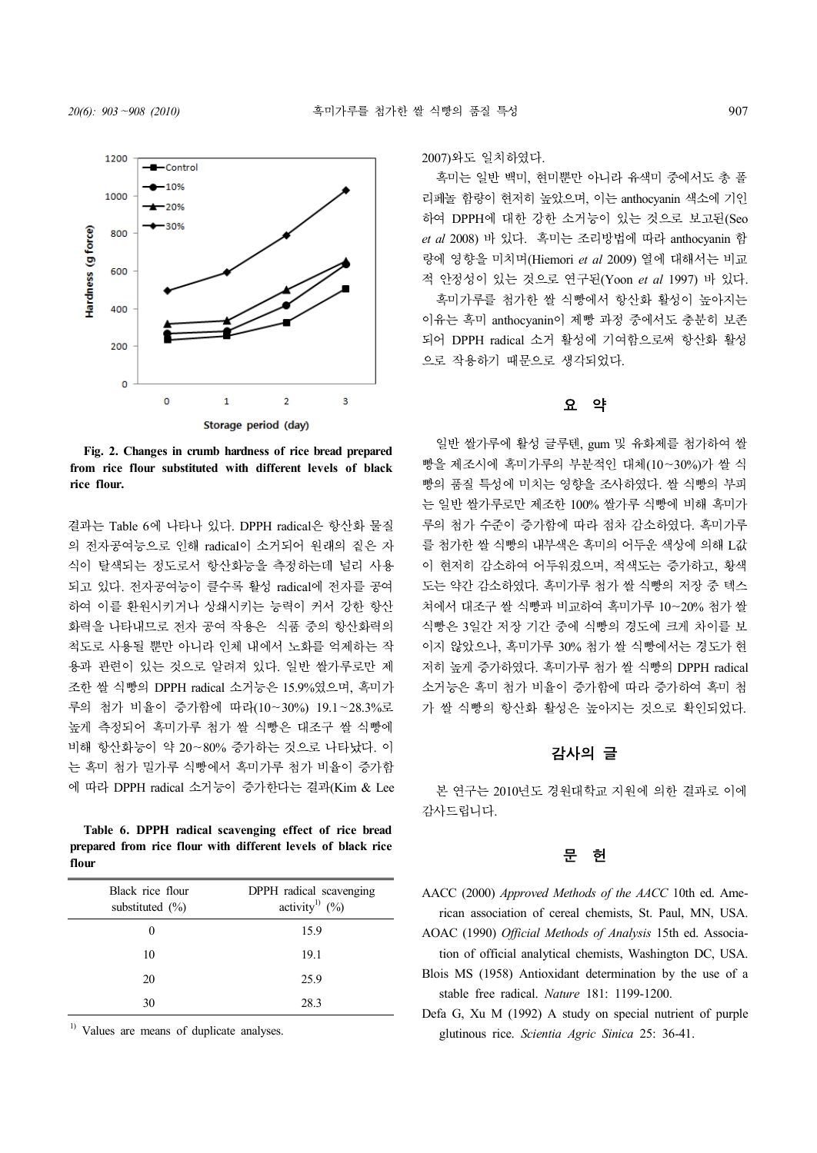

**Fig. 2. Changes in crumb hardness of rice bread prepared from rice flour substituted with different levels of black rice flour.**

결과는 Table 6에 나타나 있다. DPPH radical은 항산화 물질 의 전자공여능으로 인해 radical이 소거되어 원래의 짙은 자 식이 탈색되는 정도로서 항산화능을 측정하는데 널리 사용 되고 있다. 전자공여능이 클수록 활성 radical에 전자를 공여 하여 이를 환원시키거나 상쇄시키는 능력이 커서 강한 항산 화력을 나타내므로 전자 공여 작용은 식품 중의 항산화력의 척도로 사용될 뿐만 아니라 인체 내에서 노화를 억제하는 작 용과 관련이 있는 것으로 알려져 있다. 일반 쌀가루로만 제 조한 쌀 식빵의 DPPH radical 소거능은 15.9%였으며, 흑미가 루의 첨가 비율이 증가함에 따라(10∼30%) 19.1~28.3%로 높게 측정되어 흑미가루 첨가 쌀 식빵은 대조구 쌀 식빵에 비해 항산화능이 약 20∼80% 증가하는 것으로 나타났다. 이 는 흑미 첨가 밀가루 식빵에서 흑미가루 첨가 비율이 증가함 에 따라 DPPH radical 소거능이 증가한다는 결과(Kim & Lee

**Table 6. DPPH radical scavenging effect of rice bread prepared from rice flour with different levels of black rice flour**

| Black rice flour<br>substituted $(\%)$ | DPPH radical scavenging<br>activity <sup>1)</sup> $(\% )$ |
|----------------------------------------|-----------------------------------------------------------|
| 0                                      | 15.9                                                      |
| 10                                     | 19.1                                                      |
| 20                                     | 25.9                                                      |
| 30                                     | 28.3                                                      |

<sup>1)</sup> Values are means of duplicate analyses.

2007)와도 일치하였다.

흑미는 일반 백미, 현미뿐만 아니라 유색미 중에서도 총 폴 리페놀 함량이 현저히 높았으며, 이는 anthocyanin 색소에 기인 하여 DPPH에 대한 강한 소거능이 있는 것으로 보고된(Seo *et al* 2008) 바 있다. 흑미는 조리방법에 따라 anthocyanin 함 량에 영향을 미치며(Hiemori *et al* 2009) 열에 대해서는 비교 적 안정성이 있는 것으로 연구된(Yoon *et al* 1997) 바 있다. 흑미가루를 첨가한 쌀 식빵에서 항산화 활성이 높아지는 이유는 흑미 anthocyanin이 제빵 과정 중에서도 충분히 보존 되어 DPPH radical 소거 활성에 기여함으로써 항산화 활성 으로 작용하기 때문으로 생각되었다.

# 요 약

일반 쌀가루에 활성 글루텐, gum 및 유화제를 첨가하여 쌀 빵을 제조시에 흑미가루의 부분적인 대체(10∼30%)가 쌀 식 빵의 품질 특성에 미치는 영향을 조사하였다. 쌀 식빵의 부피 는 일반 쌀가루로만 제조한 100% 쌀가루 식빵에 비해 흑미가 루의 첨가 수준이 증가함에 따라 점차 감소하였다. 흑미가루 를 첨가한 쌀 식빵의 내부색은 흑미의 어두운 색상에 의해 L값 이 현저히 감소하여 어두워졌으며, 적색도는 증가하고, 황색 도는 약간 감소하였다. 흑미가루 첨가 쌀 식빵의 저장 중 텍스 쳐에서 대조구 쌀 식빵과 비교하여 흑미가루 10∼20% 첨가 쌀 식빵은 3일간 저장 기간 중에 식빵의 경도에 크게 차이를 보 이지 않았으나, 흑미가루 30% 첨가 쌀 식빵에서는 경도가 현 저히 높게 증가하였다. 흑미가루 첨가 쌀 식빵의 DPPH radical 소거능은 흑미 첨가 비율이 증가함에 따라 증가하여 흑미 첨 가 쌀 식빵의 항산화 활성은 높아지는 것으로 확인되었다.

# 감사의 글

본 연구는 2010년도 경원대학교 지원에 의한 결과로 이에 감사드립니다.

# 문 헌

- AACC (2000) *Approved Methods of the AACC* 10th ed. American association of cereal chemists, St. Paul, MN, USA.
- AOAC (1990) *Official Methods of Analysis* 15th ed. Association of official analytical chemists, Washington DC, USA.
- Blois MS (1958) Antioxidant determination by the use of a stable free radical. *Nature* 181: 1199-1200.
- Defa G, Xu M (1992) A study on special nutrient of purple glutinous rice. *Scientia Agric Sinica* 25: 36-41.